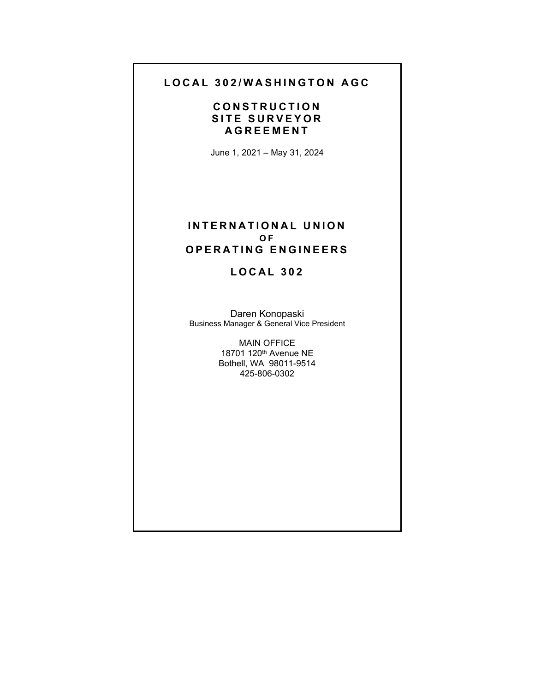## **LOCAL 302/WASHINGTON AGC**

# **CONSTRUCTION SITE SURVEYOR AGREEMENT**

June 1, 2021 – May 31, 2024

#### **INTERNATIONAL UNION O F OPERATING ENGINEERS**

# **LOCAL 302**

Daren Konopaski Business Manager & General Vice President

> MAIN OFFICE 18701 120th Avenue NE Bothell, WA 98011-9514 425-806-0302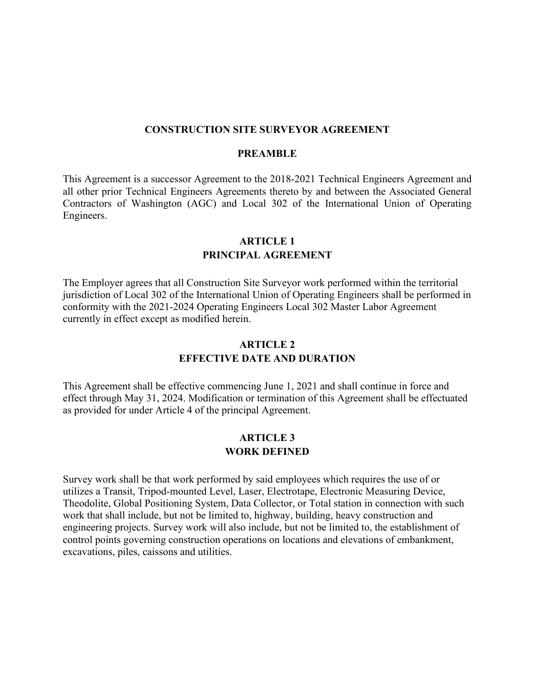#### **CONSTRUCTION SITE SURVEYOR AGREEMENT**

#### **PREAMBLE**

This Agreement is a successor Agreement to the 2018-2021 Technical Engineers Agreement and all other prior Technical Engineers Agreements thereto by and between the Associated General Contractors of Washington (AGC) and Local 302 of the International Union of Operating Engineers.

### **ARTICLE 1 PRINCIPAL AGREEMENT**

The Employer agrees that all Construction Site Surveyor work performed within the territorial jurisdiction of Local 302 of the International Union of Operating Engineers shall be performed in conformity with the 2021-2024 Operating Engineers Local 302 Master Labor Agreement currently in effect except as modified herein.

### **ARTICLE 2 EFFECTIVE DATE AND DURATION**

This Agreement shall be effective commencing June 1, 2021 and shall continue in force and effect through May 31, 2024. Modification or termination of this Agreement shall be effectuated as provided for under Article 4 of the principal Agreement.

#### **ARTICLE 3 WORK DEFINED**

Survey work shall be that work performed by said employees which requires the use of or utilizes a Transit, Tripod-mounted Level, Laser, Electrotape, Electronic Measuring Device, Theodolite, Global Positioning System, Data Collector, or Total station in connection with such work that shall include, but not be limited to, highway, building, heavy construction and engineering projects. Survey work will also include, but not be limited to, the establishment of control points governing construction operations on locations and elevations of embankment, excavations, piles, caissons and utilities.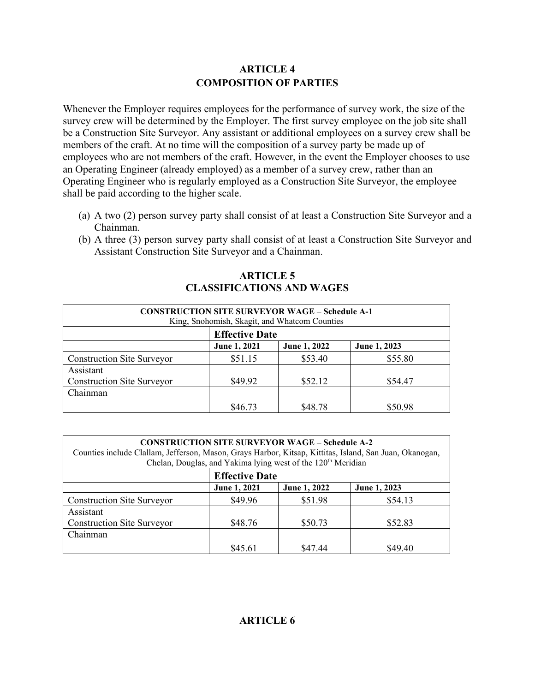## **ARTICLE 4 COMPOSITION OF PARTIES**

Whenever the Employer requires employees for the performance of survey work, the size of the survey crew will be determined by the Employer. The first survey employee on the job site shall be a Construction Site Surveyor. Any assistant or additional employees on a survey crew shall be members of the craft. At no time will the composition of a survey party be made up of employees who are not members of the craft. However, in the event the Employer chooses to use an Operating Engineer (already employed) as a member of a survey crew, rather than an Operating Engineer who is regularly employed as a Construction Site Surveyor, the employee shall be paid according to the higher scale.

- (a) A two (2) person survey party shall consist of at least a Construction Site Surveyor and a Chainman.
- (b) A three (3) person survey party shall consist of at least a Construction Site Surveyor and Assistant Construction Site Surveyor and a Chainman.

#### **ARTICLE 5 CLASSIFICATIONS AND WAGES**

| <b>CONSTRUCTION SITE SURVEYOR WAGE - Schedule A-1</b><br>King, Snohomish, Skagit, and Whatcom Counties |              |              |              |  |
|--------------------------------------------------------------------------------------------------------|--------------|--------------|--------------|--|
| <b>Effective Date</b>                                                                                  |              |              |              |  |
|                                                                                                        | June 1, 2021 | June 1, 2022 | June 1, 2023 |  |
| <b>Construction Site Surveyor</b>                                                                      | \$51.15      | \$53.40      | \$55.80      |  |
| Assistant                                                                                              |              |              |              |  |
| <b>Construction Site Surveyor</b>                                                                      | \$49.92      | \$52.12      | \$54.47      |  |
| Chainman                                                                                               |              |              |              |  |
|                                                                                                        | \$46.73      | \$48.78      | \$50.98      |  |

| <b>CONSTRUCTION SITE SURVEYOR WAGE - Schedule A-2</b><br>Counties include Clallam, Jefferson, Mason, Grays Harbor, Kitsap, Kittitas, Island, San Juan, Okanogan,<br>Chelan, Douglas, and Yakima lying west of the 120 <sup>th</sup> Meridian |                       |              |              |  |
|----------------------------------------------------------------------------------------------------------------------------------------------------------------------------------------------------------------------------------------------|-----------------------|--------------|--------------|--|
|                                                                                                                                                                                                                                              | <b>Effective Date</b> |              |              |  |
|                                                                                                                                                                                                                                              | June 1, 2021          | June 1, 2022 | June 1, 2023 |  |
| <b>Construction Site Surveyor</b>                                                                                                                                                                                                            | \$49.96               | \$51.98      | \$54.13      |  |
| Assistant                                                                                                                                                                                                                                    |                       |              |              |  |
| <b>Construction Site Surveyor</b>                                                                                                                                                                                                            | \$48.76               | \$50.73      | \$52.83      |  |
| Chainman                                                                                                                                                                                                                                     |                       |              |              |  |
|                                                                                                                                                                                                                                              | \$45.61               | \$47.44      | \$49.40      |  |

## **ARTICLE 6**